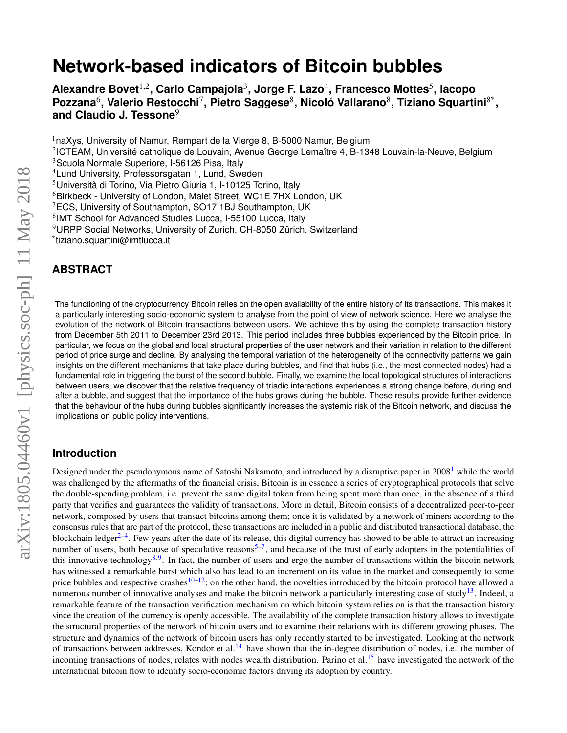# **Network-based indicators of Bitcoin bubbles**

**Alexandre Bovet**1,2**, Carlo Campajola**<sup>3</sup> **, Jorge F. Lazo**<sup>4</sup> **, Francesco Mottes**<sup>5</sup> **, Iacopo Pozzana**<sup>6</sup> **, Valerio Restocchi**<sup>7</sup> **, Pietro Saggese**<sup>8</sup> **, Nicolo Vallarano ´** 8 **, Tiziano Squartini**8\* **, and Claudio J. Tessone**<sup>9</sup>

 $1n$ aXys, University of Namur, Rempart de la Vierge 8, B-5000 Namur, Belgium

<sup>2</sup>ICTEAM, Université catholique de Louvain, Avenue George Lemaître 4, B-1348 Louvain-la-Neuve, Belgium

<sup>3</sup>Scuola Normale Superiore, I-56126 Pisa, Italy

<sup>4</sup>Lund University, Professorsgatan 1, Lund, Sweden

 $5$ Università di Torino, Via Pietro Giuria 1, I-10125 Torino, Italy

<sup>6</sup>Birkbeck - University of London, Malet Street, WC1E 7HX London, UK

<sup>7</sup>ECS, University of Southampton, SO17 1BJ Southampton, UK

8 IMT School for Advanced Studies Lucca, I-55100 Lucca, Italy

<sup>9</sup>URPP Social Networks, University of Zurich, CH-8050 Zürich, Switzerland

\* tiziano.squartini@imtlucca.it

# **ABSTRACT**

The functioning of the cryptocurrency Bitcoin relies on the open availability of the entire history of its transactions. This makes it a particularly interesting socio-economic system to analyse from the point of view of network science. Here we analyse the evolution of the network of Bitcoin transactions between users. We achieve this by using the complete transaction history from December 5th 2011 to December 23rd 2013. This period includes three bubbles experienced by the Bitcoin price. In particular, we focus on the global and local structural properties of the user network and their variation in relation to the different period of price surge and decline. By analysing the temporal variation of the heterogeneity of the connectivity patterns we gain insights on the different mechanisms that take place during bubbles, and find that hubs (i.e., the most connected nodes) had a fundamental role in triggering the burst of the second bubble. Finally, we examine the local topological structures of interactions between users, we discover that the relative frequency of triadic interactions experiences a strong change before, during and after a bubble, and suggest that the importance of the hubs grows during the bubble. These results provide further evidence that the behaviour of the hubs during bubbles significantly increases the systemic risk of the Bitcoin network, and discuss the implications on public policy interventions.

## **Introduction**

Designed under the pseudonymous name of Satoshi Nakamoto, and introduced by a disruptive paper in  $2008<sup>1</sup>$  $2008<sup>1</sup>$  $2008<sup>1</sup>$  while the world was challenged by the aftermaths of the financial crisis, Bitcoin is in essence a series of cryptographical protocols that solve the double-spending problem, i.e. prevent the same digital token from being spent more than once, in the absence of a third party that verifies and guarantees the validity of transactions. More in detail, Bitcoin consists of a decentralized peer-to-peer network, composed by users that transact bitcoins among them; once it is validated by a network of miners according to the consensus rules that are part of the protocol, these transactions are included in a public and distributed transactional database, the blockchain ledger<sup>[2](#page-8-1)[–4](#page-8-2)</sup>. Few years after the date of its release, this digital currency has showed to be able to attract an increasing number of users, both because of speculative reasons<sup>[5](#page-8-3)[–7](#page-8-4)</sup>, and because of the trust of early adopters in the potentialities of this innovative technology<sup>[8,](#page-8-5)[9](#page-8-6)</sup>. In fact, the number of users and ergo the number of transactions within the bitcoin network has witnessed a remarkable burst which also has lead to an increment on its value in the market and consequently to some price bubbles and respective crashes<sup>[10](#page-9-0)[–12](#page-9-1)</sup>; on the other hand, the novelties introduced by the bitcoin protocol have allowed a numerous number of innovative analyses and make the bitcoin network a particularly interesting case of study<sup>[13](#page-9-2)</sup>. Indeed, a remarkable feature of the transaction verification mechanism on which bitcoin system relies on is that the transaction history since the creation of the currency is openly accessible. The availability of the complete transaction history allows to investigate the structural properties of the network of bitcoin users and to examine their relations with its different growing phases. The structure and dynamics of the network of bitcoin users has only recently started to be investigated. Looking at the network of transactions between addresses, Kondor et al.<sup>[14](#page-9-3)</sup> have shown that the in-degree distribution of nodes, i.e. the number of incoming transactions of nodes, relates with nodes wealth distribution. Parino et al.<sup>[15](#page-9-4)</sup> have investigated the network of the international bitcoin flow to identify socio-economic factors driving its adoption by country.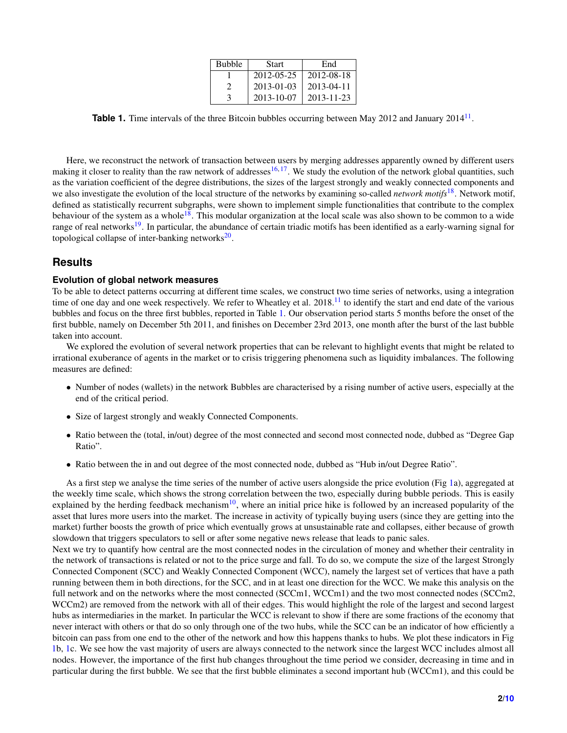| <b>Bubble</b> | <b>Start</b> | End        |
|---------------|--------------|------------|
|               | 2012-05-25   | 2012-08-18 |
| 2             | 2013-01-03   | 2013-04-11 |
| $\mathcal{L}$ | 2013-10-07   | 2013-11-23 |

<span id="page-1-0"></span>Table 1. Time intervals of the three Bitcoin bubbles occurring between May 2012 and January 2014<sup>[11](#page-9-5)</sup>.

Here, we reconstruct the network of transaction between users by merging addresses apparently owned by different users making it closer to reality than the raw network of addresses<sup>[16,](#page-9-6) [17](#page-9-7)</sup>. We study the evolution of the network global quantities, such as the variation coefficient of the degree distributions, the sizes of the largest strongly and weakly connected components and we also investigate the evolution of the local structure of the networks by examining so-called *network motifs*[18](#page-9-8). Network motif, defined as statistically recurrent subgraphs, were shown to implement simple functionalities that contribute to the complex behaviour of the system as a whole<sup>[18](#page-9-8)</sup>. This modular organization at the local scale was also shown to be common to a wide range of real networks<sup>[19](#page-9-9)</sup>. In particular, the abundance of certain triadic motifs has been identified as a early-warning signal for topological collapse of inter-banking networks $^{20}$  $^{20}$  $^{20}$ .

## **Results**

### **Evolution of global network measures**

To be able to detect patterns occurring at different time scales, we construct two time series of networks, using a integration time of one day and one week respectively. We refer to Wheatley et al.  $2018<sup>11</sup>$  $2018<sup>11</sup>$  $2018<sup>11</sup>$  to identify the start and end date of the various bubbles and focus on the three first bubbles, reported in Table [1.](#page-1-0) Our observation period starts 5 months before the onset of the first bubble, namely on December 5th 2011, and finishes on December 23rd 2013, one month after the burst of the last bubble taken into account.

We explored the evolution of several network properties that can be relevant to highlight events that might be related to irrational exuberance of agents in the market or to crisis triggering phenomena such as liquidity imbalances. The following measures are defined:

- Number of nodes (wallets) in the network Bubbles are characterised by a rising number of active users, especially at the end of the critical period.
- Size of largest strongly and weakly Connected Components.
- Ratio between the (total, in/out) degree of the most connected and second most connected node, dubbed as "Degree Gap Ratio".
- Ratio between the in and out degree of the most connected node, dubbed as "Hub in/out Degree Ratio".

As a first step we analyse the time series of the number of active users alongside the price evolution (Fig [1a](#page-2-0)), aggregated at the weekly time scale, which shows the strong correlation between the two, especially during bubble periods. This is easily explained by the herding feedback mechanism<sup>[10](#page-9-0)</sup>, where an initial price hike is followed by an increased popularity of the asset that lures more users into the market. The increase in activity of typically buying users (since they are getting into the market) further boosts the growth of price which eventually grows at unsustainable rate and collapses, either because of growth slowdown that triggers speculators to sell or after some negative news release that leads to panic sales.

Next we try to quantify how central are the most connected nodes in the circulation of money and whether their centrality in the network of transactions is related or not to the price surge and fall. To do so, we compute the size of the largest Strongly Connected Component (SCC) and Weakly Connected Component (WCC), namely the largest set of vertices that have a path running between them in both directions, for the SCC, and in at least one direction for the WCC. We make this analysis on the full network and on the networks where the most connected (SCCm1, WCCm1) and the two most connected nodes (SCCm2, WCCm2) are removed from the network with all of their edges. This would highlight the role of the largest and second largest hubs as intermediaries in the market. In particular the WCC is relevant to show if there are some fractions of the economy that never interact with others or that do so only through one of the two hubs, while the SCC can be an indicator of how efficiently a bitcoin can pass from one end to the other of the network and how this happens thanks to hubs. We plot these indicators in Fig [1b](#page-2-0), [1c](#page-2-0). We see how the vast majority of users are always connected to the network since the largest WCC includes almost all nodes. However, the importance of the first hub changes throughout the time period we consider, decreasing in time and in particular during the first bubble. We see that the first bubble eliminates a second important hub (WCCm1), and this could be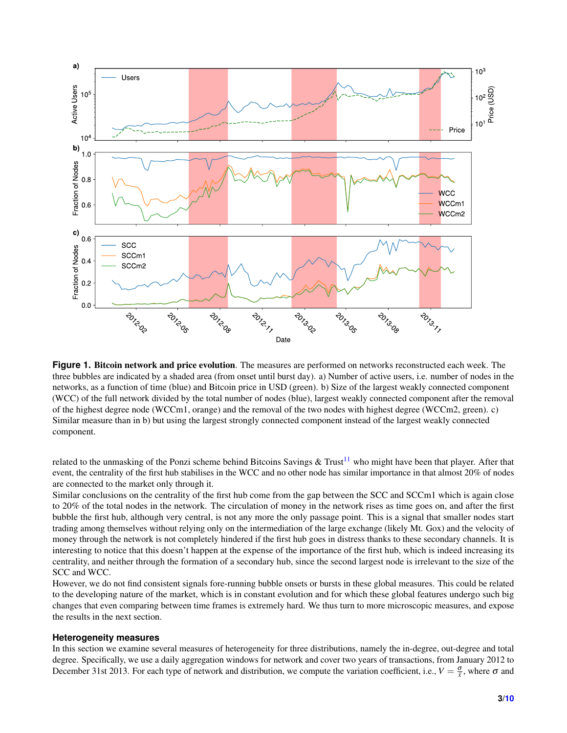<span id="page-2-0"></span>

**Figure 1.** Bitcoin network and price evolution. The measures are performed on networks reconstructed each week. The three bubbles are indicated by a shaded area (from onset until burst day). a) Number of active users, i.e. number of nodes in the networks, as a function of time (blue) and Bitcoin price in USD (green). b) Size of the largest weakly connected component (WCC) of the full network divided by the total number of nodes (blue), largest weakly connected component after the removal of the highest degree node (WCCm1, orange) and the removal of the two nodes with highest degree (WCCm2, green). c) Similar measure than in b) but using the largest strongly connected component instead of the largest weakly connected component.

related to the unmasking of the Ponzi scheme behind Bitcoins Savings & Trust<sup>[11](#page-9-5)</sup> who might have been that player. After that event, the centrality of the first hub stabilises in the WCC and no other node has similar importance in that almost 20% of nodes are connected to the market only through it.

Similar conclusions on the centrality of the first hub come from the gap between the SCC and SCCm1 which is again close to 20% of the total nodes in the network. The circulation of money in the network rises as time goes on, and after the first bubble the first hub, although very central, is not any more the only passage point. This is a signal that smaller nodes start trading among themselves without relying only on the intermediation of the large exchange (likely Mt. Gox) and the velocity of money through the network is not completely hindered if the first hub goes in distress thanks to these secondary channels. It is interesting to notice that this doesn't happen at the expense of the importance of the first hub, which is indeed increasing its centrality, and neither through the formation of a secondary hub, since the second largest node is irrelevant to the size of the SCC and WCC.

However, we do not find consistent signals fore-running bubble onsets or bursts in these global measures. This could be related to the developing nature of the market, which is in constant evolution and for which these global features undergo such big changes that even comparing between time frames is extremely hard. We thus turn to more microscopic measures, and expose the results in the next section.

#### **Heterogeneity measures**

In this section we examine several measures of heterogeneity for three distributions, namely the in-degree, out-degree and total degree. Specifically, we use a daily aggregation windows for network and cover two years of transactions, from January 2012 to December 31st 2013. For each type of network and distribution, we compute the variation coefficient, i.e.,  $V = \frac{\sigma}{\bar{x}}$ , where  $\sigma$  and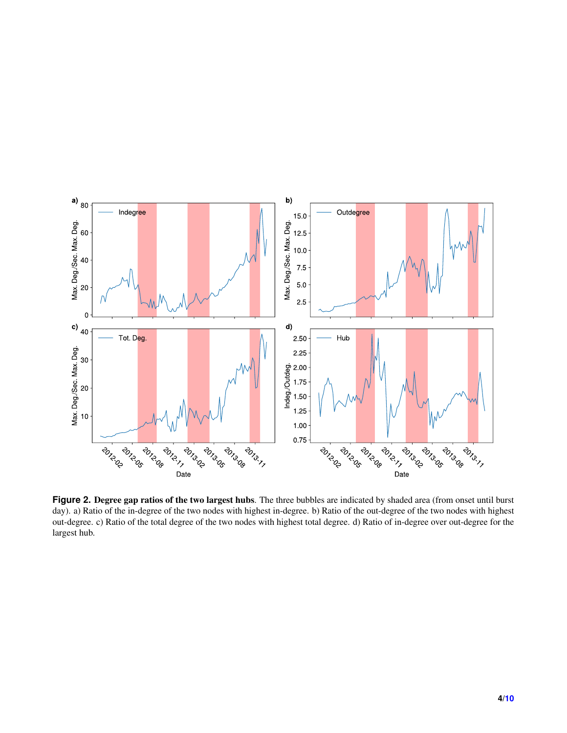<span id="page-3-0"></span>

**Figure 2. Degree gap ratios of the two largest hubs**. The three bubbles are indicated by shaded area (from onset until burst day). a) Ratio of the in-degree of the two nodes with highest in-degree. b) Ratio of the out-degree of the two nodes with highest out-degree. c) Ratio of the total degree of the two nodes with highest total degree. d) Ratio of in-degree over out-degree for the largest hub.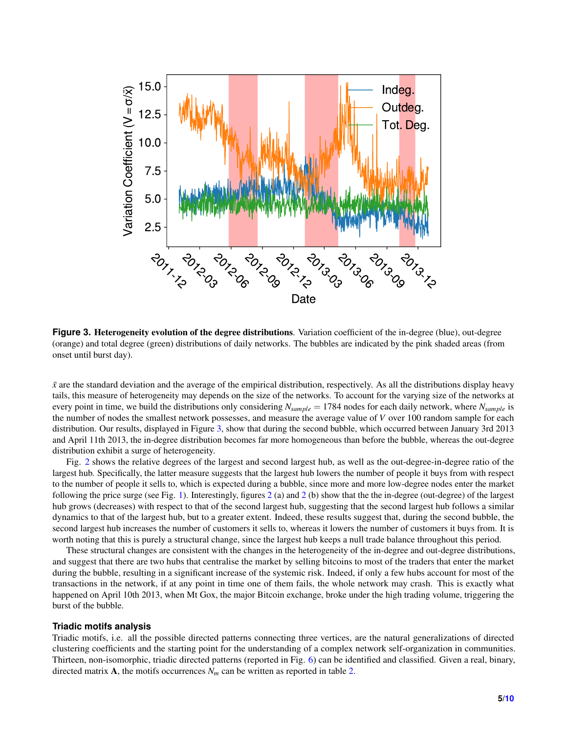<span id="page-4-0"></span>

**Figure 3.** Heterogeneity evolution of the degree distributions. Variation coefficient of the in-degree (blue), out-degree (orange) and total degree (green) distributions of daily networks. The bubbles are indicated by the pink shaded areas (from onset until burst day).

 $\bar{x}$  are the standard deviation and the average of the empirical distribution, respectively. As all the distributions display heavy tails, this measure of heterogeneity may depends on the size of the networks. To account for the varying size of the networks at every point in time, we build the distributions only considering *Nsample* = 1784 nodes for each daily network, where *Nsample* is the number of nodes the smallest network possesses, and measure the average value of *V* over 100 random sample for each distribution. Our results, displayed in Figure [3,](#page-4-0) show that during the second bubble, which occurred between January 3rd 2013 and April 11th 2013, the in-degree distribution becomes far more homogeneous than before the bubble, whereas the out-degree distribution exhibit a surge of heterogeneity.

Fig. [2](#page-3-0) shows the relative degrees of the largest and second largest hub, as well as the out-degree-in-degree ratio of the largest hub. Specifically, the latter measure suggests that the largest hub lowers the number of people it buys from with respect to the number of people it sells to, which is expected during a bubble, since more and more low-degree nodes enter the market following the price surge (see Fig. [1\)](#page-2-0). Interestingly, figures [2](#page-3-0) (a) and [2](#page-3-0) (b) show that the the in-degree (out-degree) of the largest hub grows (decreases) with respect to that of the second largest hub, suggesting that the second largest hub follows a similar dynamics to that of the largest hub, but to a greater extent. Indeed, these results suggest that, during the second bubble, the second largest hub increases the number of customers it sells to, whereas it lowers the number of customers it buys from. It is worth noting that this is purely a structural change, since the largest hub keeps a null trade balance throughout this period.

These structural changes are consistent with the changes in the heterogeneity of the in-degree and out-degree distributions, and suggest that there are two hubs that centralise the market by selling bitcoins to most of the traders that enter the market during the bubble, resulting in a significant increase of the systemic risk. Indeed, if only a few hubs account for most of the transactions in the network, if at any point in time one of them fails, the whole network may crash. This is exactly what happened on April 10th 2013, when Mt Gox, the major Bitcoin exchange, broke under the high trading volume, triggering the burst of the bubble.

#### **Triadic motifs analysis**

Triadic motifs, i.e. all the possible directed patterns connecting three vertices, are the natural generalizations of directed clustering coefficients and the starting point for the understanding of a complex network self-organization in communities. Thirteen, non-isomorphic, triadic directed patterns (reported in Fig. [6\)](#page-8-7) can be identified and classified. Given a real, binary, directed matrix **A**, the motifs occurrences  $N_m$  can be written as reported in table [2.](#page-5-0)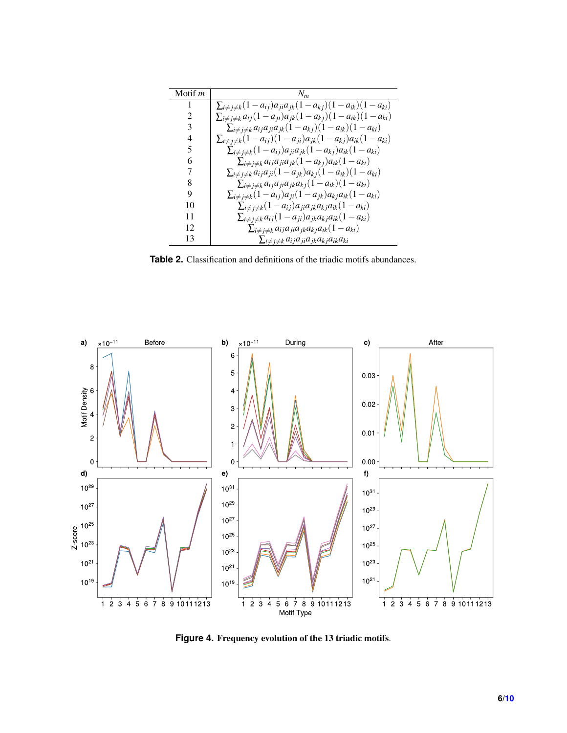<span id="page-5-0"></span>

| Motif m | $N_m$                                                                                      |
|---------|--------------------------------------------------------------------------------------------|
| 1       | $\sum_{i \neq j \neq k} (1 - a_{ij}) a_{ji} a_{jk} (1 - a_{kj}) (1 - a_{ik}) (1 - a_{ki})$ |
| 2       | $\sum_{i \neq j \neq k} a_{ij} (1 - a_{ji}) a_{jk} (1 - a_{kj}) (1 - a_{ik}) (1 - a_{ki})$ |
| 3       | $\sum_{i \neq j \neq k} a_{ij} a_{ji} a_{jk} (1 - a_{kj})(1 - a_{ik})(1 - a_{ki})$         |
| 4       | $\sum_{i \neq j \neq k} (1 - a_{ij})(1 - a_{ji}) a_{jk} (1 - a_{kj}) a_{ik} (1 - a_{ki})$  |
| 5       | $\sum_{i \neq j \neq k} (1 - a_{ij}) a_{ji} a_{jk} (1 - a_{kj}) a_{ik} (1 - a_{ki})$       |
| 6       | $\sum_{i \neq j \neq k} a_{ij} a_{ji} a_{jk} (1 - a_{kj}) a_{ik} (1 - a_{ki})$             |
| 7       | $\sum_{i \neq j \neq k} a_{ij} a_{ji} (1 - a_{jk}) a_{kj} (1 - a_{ik}) (1 - a_{ki})$       |
| 8       | $\sum_{i\neq j\neq k}a_{ij}a_{ji}a_{jk}a_{kj}(1-a_{ik})(1-a_{ki})$                         |
| 9       | $\sum_{i \neq j \neq k} (1 - a_{ij}) a_{ji} (1 - a_{jk}) a_{kj} a_{ik} (1 - a_{ki})$       |
| 10      | $\sum_{i \neq j \neq k} (1 - a_{ij}) a_{ji} a_{jk} a_{kj} a_{ik} (1 - a_{ki})$             |
| 11      | $\sum_{i \neq j \neq k} a_{ij} (1 - a_{ji}) a_{jk} a_{kj} a_{ik} (1 - a_{ki})$             |
| 12      | $\sum_{i \neq j \neq k} a_{ij} a_{ji} a_{jk} a_{kj} a_{ik} (1 - a_{ki})$                   |
| 13      | $\sum_{i\neq j\neq k}a_{ij}a_{ji}a_{jk}a_{kj}a_{ik}a_{ki}$                                 |

**Table 2.** Classification and definitions of the triadic motifs abundances.

<span id="page-5-1"></span>

**Figure 4.** Frequency evolution of the 13 triadic motifs.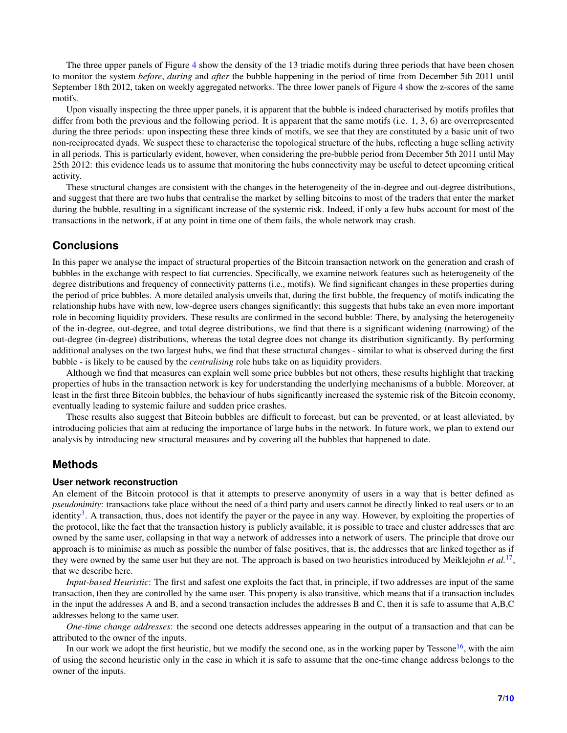The three upper panels of Figure [4](#page-5-1) show the density of the 13 triadic motifs during three periods that have been chosen to monitor the system *before*, *during* and *after* the bubble happening in the period of time from December 5th 2011 until September 18th 2012, taken on weekly aggregated networks. The three lower panels of Figure [4](#page-5-1) show the z-scores of the same motifs.

Upon visually inspecting the three upper panels, it is apparent that the bubble is indeed characterised by motifs profiles that differ from both the previous and the following period. It is apparent that the same motifs (i.e. 1, 3, 6) are overrepresented during the three periods: upon inspecting these three kinds of motifs, we see that they are constituted by a basic unit of two non-reciprocated dyads. We suspect these to characterise the topological structure of the hubs, reflecting a huge selling activity in all periods. This is particularly evident, however, when considering the pre-bubble period from December 5th 2011 until May 25th 2012: this evidence leads us to assume that monitoring the hubs connectivity may be useful to detect upcoming critical activity.

These structural changes are consistent with the changes in the heterogeneity of the in-degree and out-degree distributions, and suggest that there are two hubs that centralise the market by selling bitcoins to most of the traders that enter the market during the bubble, resulting in a significant increase of the systemic risk. Indeed, if only a few hubs account for most of the transactions in the network, if at any point in time one of them fails, the whole network may crash.

## **Conclusions**

In this paper we analyse the impact of structural properties of the Bitcoin transaction network on the generation and crash of bubbles in the exchange with respect to fiat currencies. Specifically, we examine network features such as heterogeneity of the degree distributions and frequency of connectivity patterns (i.e., motifs). We find significant changes in these properties during the period of price bubbles. A more detailed analysis unveils that, during the first bubble, the frequency of motifs indicating the relationship hubs have with new, low-degree users changes significantly; this suggests that hubs take an even more important role in becoming liquidity providers. These results are confirmed in the second bubble: There, by analysing the heterogeneity of the in-degree, out-degree, and total degree distributions, we find that there is a significant widening (narrowing) of the out-degree (in-degree) distributions, whereas the total degree does not change its distribution significantly. By performing additional analyses on the two largest hubs, we find that these structural changes - similar to what is observed during the first bubble - is likely to be caused by the *centralising* role hubs take on as liquidity providers.

Although we find that measures can explain well some price bubbles but not others, these results highlight that tracking properties of hubs in the transaction network is key for understanding the underlying mechanisms of a bubble. Moreover, at least in the first three Bitcoin bubbles, the behaviour of hubs significantly increased the systemic risk of the Bitcoin economy, eventually leading to systemic failure and sudden price crashes.

These results also suggest that Bitcoin bubbles are difficult to forecast, but can be prevented, or at least alleviated, by introducing policies that aim at reducing the importance of large hubs in the network. In future work, we plan to extend our analysis by introducing new structural measures and by covering all the bubbles that happened to date.

## **Methods**

## **User network reconstruction**

An element of the Bitcoin protocol is that it attempts to preserve anonymity of users in a way that is better defined as *pseudonimity*: transactions take place without the need of a third party and users cannot be directly linked to real users or to an identity<sup>[3](#page-8-8)</sup>. A transaction, thus, does not identify the payer or the payee in any way. However, by exploiting the properties of the protocol, like the fact that the transaction history is publicly available, it is possible to trace and cluster addresses that are owned by the same user, collapsing in that way a network of addresses into a network of users. The principle that drove our approach is to minimise as much as possible the number of false positives, that is, the addresses that are linked together as if they were owned by the same user but they are not. The approach is based on two heuristics introduced by Meiklejohn *et al.*[17](#page-9-7) , that we describe here.

*Input-based Heuristic*: The first and safest one exploits the fact that, in principle, if two addresses are input of the same transaction, then they are controlled by the same user. This property is also transitive, which means that if a transaction includes in the input the addresses A and B, and a second transaction includes the addresses B and C, then it is safe to assume that A,B,C addresses belong to the same user.

*One-time change addresses*: the second one detects addresses appearing in the output of a transaction and that can be attributed to the owner of the inputs.

In our work we adopt the first heuristic, but we modify the second one, as in the working paper by Tessone<sup>[16](#page-9-6)</sup>, with the aim of using the second heuristic only in the case in which it is safe to assume that the one-time change address belongs to the owner of the inputs.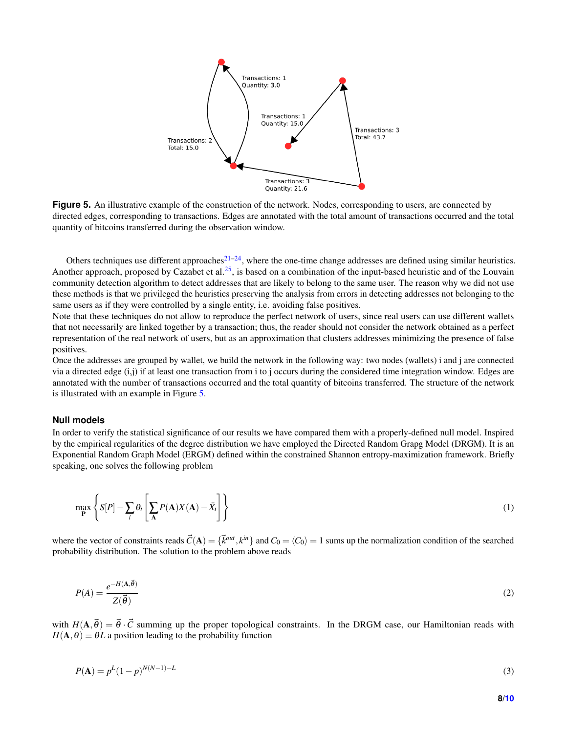<span id="page-7-0"></span>

**Figure 5.** An illustrative example of the construction of the network. Nodes, corresponding to users, are connected by directed edges, corresponding to transactions. Edges are annotated with the total amount of transactions occurred and the total quantity of bitcoins transferred during the observation window.

Others techniques use different approaches<sup>[21–](#page-9-12)[24](#page-9-13)</sup>, where the one-time change addresses are defined using similar heuristics. Another approach, proposed by Cazabet et al.<sup>[25](#page-9-14)</sup>, is based on a combination of the input-based heuristic and of the Louvain community detection algorithm to detect addresses that are likely to belong to the same user. The reason why we did not use these methods is that we privileged the heuristics preserving the analysis from errors in detecting addresses not belonging to the same users as if they were controlled by a single entity, i.e. avoiding false positives.

Note that these techniques do not allow to reproduce the perfect network of users, since real users can use different wallets that not necessarily are linked together by a transaction; thus, the reader should not consider the network obtained as a perfect representation of the real network of users, but as an approximation that clusters addresses minimizing the presence of false positives.

Once the addresses are grouped by wallet, we build the network in the following way: two nodes (wallets) i and j are connected via a directed edge (i,j) if at least one transaction from i to j occurs during the considered time integration window. Edges are annotated with the number of transactions occurred and the total quantity of bitcoins transferred. The structure of the network is illustrated with an example in Figure [5.](#page-7-0)

#### **Null models**

In order to verify the statistical significance of our results we have compared them with a properly-defined null model. Inspired by the empirical regularities of the degree distribution we have employed the Directed Random Grapg Model (DRGM). It is an Exponential Random Graph Model (ERGM) defined within the constrained Shannon entropy-maximization framework. Briefly speaking, one solves the following problem

$$
\max_{\mathbf{P}} \left\{ S[P] - \sum_{i} \theta_i \left[ \sum_{\mathbf{A}} P(\mathbf{A}) X(\mathbf{A}) - \bar{X}_i \right] \right\} \tag{1}
$$

where the vector of constraints reads  $\vec{C}(\mathbf{A}) = {\vec{k}^{out}, k^{in}}$  and  $C_0 = \langle C_0 \rangle = 1$  sums up the normalization condition of the searched probability distribution. The solution to the problem above reads

$$
P(A) = \frac{e^{-H(A, \vec{\theta})}}{Z(\vec{\theta})}
$$
 (2)

with  $H(A,\vec{\theta}) = \vec{\theta} \cdot \vec{C}$  summing up the proper topological constraints. In the DRGM case, our Hamiltonian reads with  $H(A, \theta) \equiv \theta L$  a position leading to the probability function

$$
P(\mathbf{A}) = p^{L}(1-p)^{N(N-1)-L}
$$
\n(3)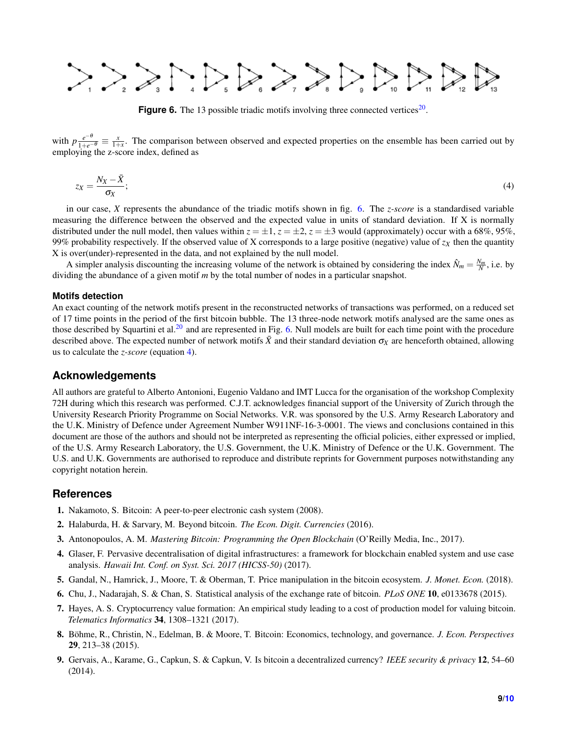<span id="page-8-7"></span>

**Figure 6.** The 13 possible triadic motifs involving three connected vertices $20$ .

<span id="page-8-9"></span>with  $p\frac{e^{-\theta}}{1+e^{-\theta}} \equiv \frac{x}{1+x}$ . The comparison between observed and expected properties on the ensemble has been carried out by employing the z-score index, defined as

$$
z_X = \frac{N_X - \bar{X}}{\sigma_X};\tag{4}
$$

in our case, *X* represents the abundance of the triadic motifs shown in fig. [6.](#page-8-7) The *z-score* is a standardised variable measuring the difference between the observed and the expected value in units of standard deviation. If X is normally distributed under the null model, then values within  $z = \pm 1$ ,  $z = \pm 2$ ,  $z = \pm 3$  would (approximately) occur with a 68%, 95%, 99% probability respectively. If the observed value of X corresponds to a large positive (negative) value of *z<sup>X</sup>* then the quantity X is over(under)-represented in the data, and not explained by the null model.

A simpler analysis discounting the increasing volume of the network is obtained by considering the index  $\hat{N}_m = \frac{N_m}{N}$ , i.e. by dividing the abundance of a given motif *m* by the total number of nodes in a particular snapshot.

#### **Motifs detection**

An exact counting of the network motifs present in the reconstructed networks of transactions was performed, on a reduced set of 17 time points in the period of the first bitcoin bubble. The 13 three-node network motifs analysed are the same ones as those described by Squartini et al.<sup>[20](#page-9-10)</sup> and are represented in Fig. [6.](#page-8-7) Null models are built for each time point with the procedure described above. The expected number of network motifs  $\bar{X}$  and their standard deviation  $\sigma_X$  are henceforth obtained, allowing us to calculate the *z-score* (equation [4\)](#page-8-9).

## **Acknowledgements**

All authors are grateful to Alberto Antonioni, Eugenio Valdano and IMT Lucca for the organisation of the workshop Complexity 72H during which this research was performed. C.J.T. acknowledges financial support of the University of Zurich through the University Research Priority Programme on Social Networks. V.R. was sponsored by the U.S. Army Research Laboratory and the U.K. Ministry of Defence under Agreement Number W911NF-16-3-0001. The views and conclusions contained in this document are those of the authors and should not be interpreted as representing the official policies, either expressed or implied, of the U.S. Army Research Laboratory, the U.S. Government, the U.K. Ministry of Defence or the U.K. Government. The U.S. and U.K. Governments are authorised to reproduce and distribute reprints for Government purposes notwithstanding any copyright notation herein.

## **References**

- <span id="page-8-0"></span>1. Nakamoto, S. Bitcoin: A peer-to-peer electronic cash system (2008).
- <span id="page-8-1"></span>2. Halaburda, H. & Sarvary, M. Beyond bitcoin. *The Econ. Digit. Currencies* (2016).
- <span id="page-8-8"></span>3. Antonopoulos, A. M. *Mastering Bitcoin: Programming the Open Blockchain* (O'Reilly Media, Inc., 2017).
- <span id="page-8-2"></span>4. Glaser, F. Pervasive decentralisation of digital infrastructures: a framework for blockchain enabled system and use case analysis. *Hawaii Int. Conf. on Syst. Sci. 2017 (HICSS-50)* (2017).
- <span id="page-8-3"></span>5. Gandal, N., Hamrick, J., Moore, T. & Oberman, T. Price manipulation in the bitcoin ecosystem. *J. Monet. Econ.* (2018).
- 6. Chu, J., Nadarajah, S. & Chan, S. Statistical analysis of the exchange rate of bitcoin. *PLoS ONE* 10, e0133678 (2015).
- <span id="page-8-4"></span>7. Hayes, A. S. Cryptocurrency value formation: An empirical study leading to a cost of production model for valuing bitcoin. *Telematics Informatics* 34, 1308–1321 (2017).
- <span id="page-8-5"></span>8. Böhme, R., Christin, N., Edelman, B. & Moore, T. Bitcoin: Economics, technology, and governance. J. Econ. Perspectives 29, 213–38 (2015).
- <span id="page-8-6"></span>9. Gervais, A., Karame, G., Capkun, S. & Capkun, V. Is bitcoin a decentralized currency? *IEEE security & privacy* 12, 54–60 (2014).